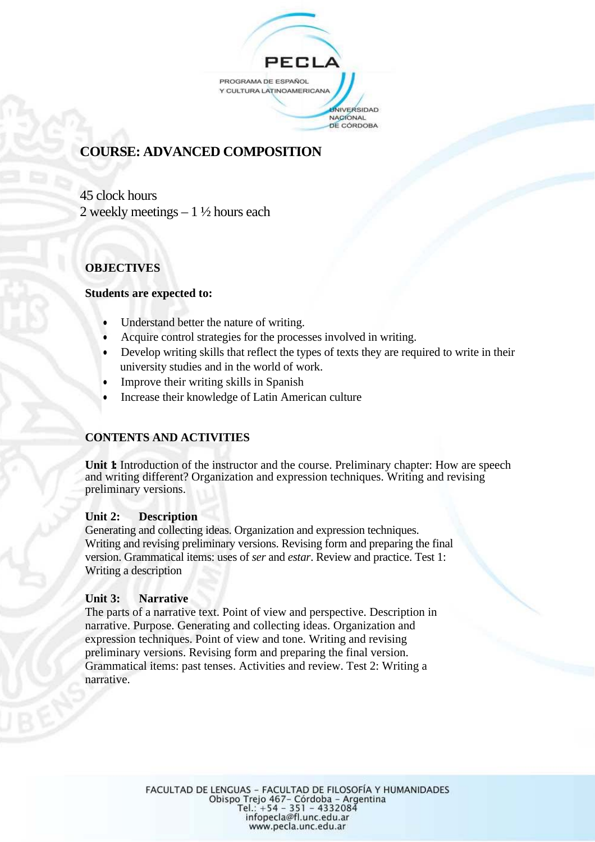

# **COURSE: ADVANCED COMPOSITION**

45 clock hours 2 weekly meetings  $-1\frac{1}{2}$  hours each

## **OBJECTIVES**

## **Students are expected to:**

- Understand better the nature of writing.
- Acquire control strategies for the processes involved in writing.
- Develop writing skills that reflect the types of texts they are required to write in their university studies and in the world of work.
- Improve their writing skills in Spanish
- Increase their knowledge of Latin American culture

## **CONTENTS AND ACTIVITIES**

**Unit 1** Introduction of the instructor and the course. Preliminary chapter: How are speech and writing different? Organization and expression techniques. Writing and revising preliminary versions.

### **Unit 2: Description**

Generating and collecting ideas. Organization and expression techniques. Writing and revising preliminary versions. Revising form and preparing the final version. Grammatical items: uses of *ser* and *estar*. Review and practice. Test 1: Writing a description

## **Unit 3: Narrative**

The parts of a narrative text. Point of view and perspective. Description in narrative. Purpose. Generating and collecting ideas. Organization and expression techniques. Point of view and tone. Writing and revising preliminary versions. Revising form and preparing the final version. Grammatical items: past tenses. Activities and review. Test 2: Writing a narrative.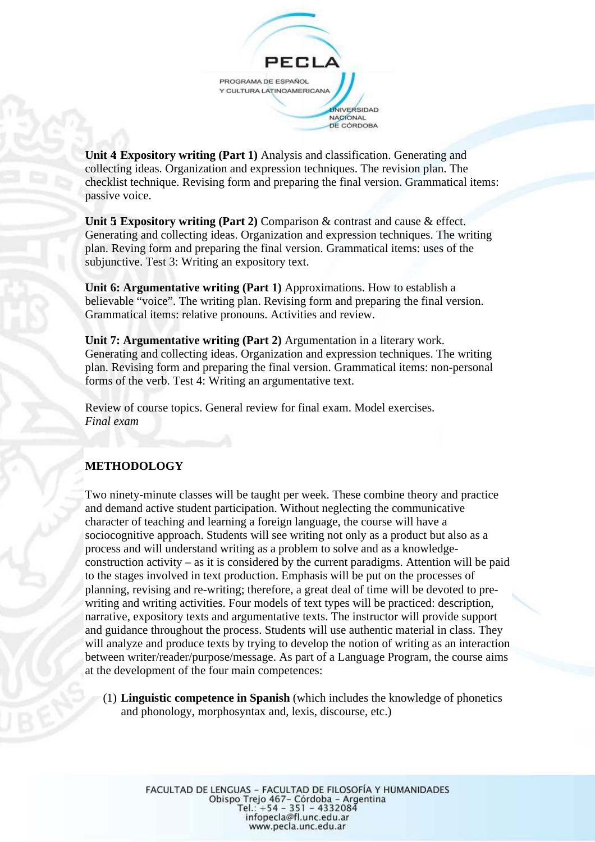

**Unit 4 Expository writing (Part 1)** Analysis and classification. Generating and collecting ideas. Organization and expression techniques. The revision plan. The checklist technique. Revising form and preparing the final version. Grammatical items: passive voice.

**Unit 5 Expository writing (Part 2) Comparison & contrast and cause & effect.** Generating and collecting ideas. Organization and expression techniques. The writing plan. Reving form and preparing the final version. Grammatical items: uses of the subjunctive. Test 3: Writing an expository text.

**Unit 6: Argumentative writing (Part 1)** Approximations. How to establish a believable "voice". The writing plan. Revising form and preparing the final version. Grammatical items: relative pronouns. Activities and review.

**Unit 7: Argumentative writing (Part 2)** Argumentation in a literary work. Generating and collecting ideas. Organization and expression techniques. The writing plan. Revising form and preparing the final version. Grammatical items: non-personal forms of the verb. Test 4: Writing an argumentative text.

Review of course topics. General review for final exam. Model exercises. *Final exam*

## **METHODOLOGY**

Two ninety-minute classes will be taught per week. These combine theory and practice and demand active student participation. Without neglecting the communicative character of teaching and learning a foreign language, the course will have a sociocognitive approach. Students will see writing not only as a product but also as a process and will understand writing as a problem to solve and as a knowledgeconstruction activity – as it is considered by the current paradigms. Attention will be paid to the stages involved in text production. Emphasis will be put on the processes of planning, revising and re-writing; therefore, a great deal of time will be devoted to prewriting and writing activities. Four models of text types will be practiced: description, narrative, expository texts and argumentative texts. The instructor will provide support and guidance throughout the process. Students will use authentic material in class. They will analyze and produce texts by trying to develop the notion of writing as an interaction between writer/reader/purpose/message. As part of a Language Program, the course aims at the development of the four main competences:

(1) **Linguistic competence in Spanish** (which includes the knowledge of phonetics and phonology, morphosyntax and, lexis, discourse, etc.)